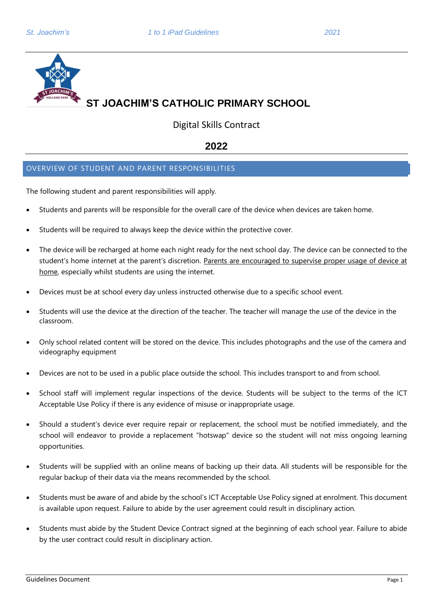

Digital Skills Contract

## **2022**

## OVERVIEW OF STUDENT AND PARENT RESPONSIBILITIES

The following student and parent responsibilities will apply.

- Students and parents will be responsible for the overall care of the device when devices are taken home.
- Students will be required to always keep the device within the protective cover.
- The device will be recharged at home each night ready for the next school day. The device can be connected to the student's home internet at the parent's discretion. Parents are encouraged to supervise proper usage of device at home, especially whilst students are using the internet.
- Devices must be at school every day unless instructed otherwise due to a specific school event.
- Students will use the device at the direction of the teacher. The teacher will manage the use of the device in the classroom.
- Only school related content will be stored on the device. This includes photographs and the use of the camera and videography equipment
- Devices are not to be used in a public place outside the school. This includes transport to and from school.
- School staff will implement regular inspections of the device. Students will be subject to the terms of the ICT Acceptable Use Policy if there is any evidence of misuse or inappropriate usage.
- Should a student's device ever require repair or replacement, the school must be notified immediately, and the school will endeavor to provide a replacement "hotswap" device so the student will not miss ongoing learning opportunities.
- Students will be supplied with an online means of backing up their data. All students will be responsible for the regular backup of their data via the means recommended by the school.
- Students must be aware of and abide by the school's ICT Acceptable Use Policy signed at enrolment. This document is available upon request. Failure to abide by the user agreement could result in disciplinary action.
- Students must abide by the Student Device Contract signed at the beginning of each school year. Failure to abide by the user contract could result in disciplinary action.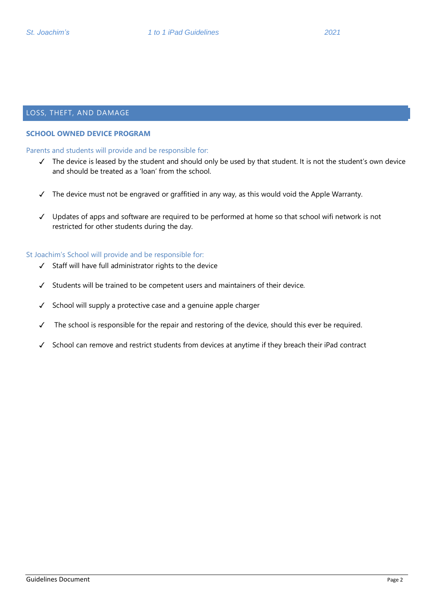### LOSS, THEFT, AND DAMAGE

#### **SCHOOL OWNED DEVICE PROGRAM**

Parents and students will provide and be responsible for:

- ✓ The device is leased by the student and should only be used by that student. It is not the student's own device and should be treated as a 'loan' from the school.
- ✓ The device must not be engraved or graffitied in any way, as this would void the Apple Warranty.
- ✓ Updates of apps and software are required to be performed at home so that school wifi network is not restricted for other students during the day.

#### St Joachim's School will provide and be responsible for:

- ✓ Staff will have full administrator rights to the device
- ✓ Students will be trained to be competent users and maintainers of their device.
- ✓ School will supply a protective case and a genuine apple charger
- ✓ The school is responsible for the repair and restoring of the device, should this ever be required.
- ✓ School can remove and restrict students from devices at anytime if they breach their iPad contract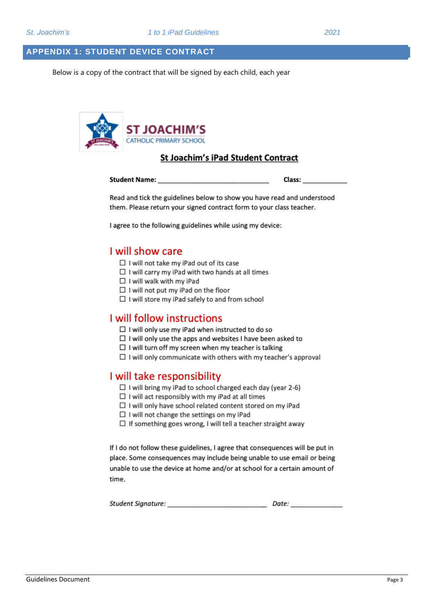## **APPENDIX 1: STUDENT DEVICE CONTRACT**

Below is a copy of the contract that will be signed by each child, each year



## St Joachim's iPad Student Contract

Student Name: Class:

Read and tick the guidelines below to show you have read and understood them. Please return your signed contract form to your class teacher.

I agree to the following guidelines while using my device:

## I will show care

- □ I will not take my iPad out of its case
- $\Box$  I will carry my iPad with two hands at all times
- $\Box$  I will walk with my iPad
- $\Box$  I will not put my iPad on the floor
- $\Box$  I will store my iPad safely to and from school

## **I** will follow instructions

- $\Box$  I will only use my iPad when instructed to do so
- $\Box$  I will only use the apps and websites I have been asked to
- $\Box$  I will turn off my screen when my teacher is talking
- $\Box$  I will only communicate with others with my teacher's approval

## I will take responsibility

- $\Box$  I will bring my iPad to school charged each day (year 2-6)
- $\Box$  I will act responsibly with my iPad at all times
- $\Box$  I will only have school related content stored on my iPad
- $\Box$  I will not change the settings on my iPad
- $\Box$  If something goes wrong, I will tell a teacher straight away

If I do not follow these guidelines, I agree that consequences will be put in place. Some consequences may include being unable to use email or being unable to use the device at home and/or at school for a certain amount of time.

| Student Signature: | Date: |
|--------------------|-------|
|                    |       |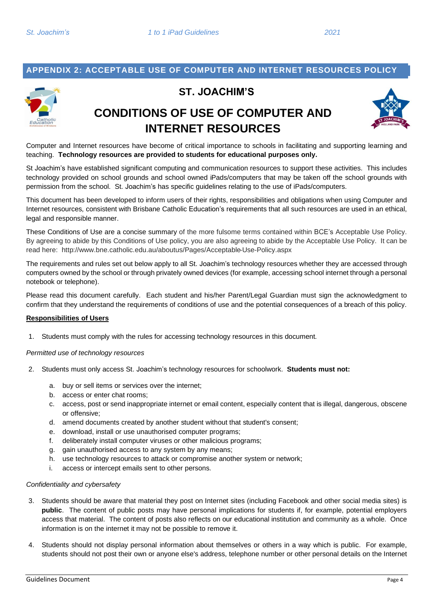## **APPENDIX 2: ACCEPTABLE USE OF COMPUTER AND INTERNET RESOURCES POLICY**



## **ST. JOACHIM'S**

# **CONDITIONS OF USE OF COMPUTER AND INTERNET RESOURCES**



Computer and Internet resources have become of critical importance to schools in facilitating and supporting learning and teaching. **Technology resources are provided to students for educational purposes only.**

St Joachim's have established significant computing and communication resources to support these activities. This includes technology provided on school grounds and school owned iPads/computers that may be taken off the school grounds with permission from the school. St. Joachim's has specific guidelines relating to the use of iPads/computers.

This document has been developed to inform users of their rights, responsibilities and obligations when using Computer and Internet resources, consistent with Brisbane Catholic Education's requirements that all such resources are used in an ethical, legal and responsible manner.

These Conditions of Use are a concise summary of the more fulsome terms contained within BCE's Acceptable Use Policy. By agreeing to abide by this Conditions of Use policy, you are also agreeing to abide by the Acceptable Use Policy. It can be read here: http://www.bne.catholic.edu.au/aboutus/Pages/Acceptable-Use-Policy.aspx

The requirements and rules set out below apply to all St. Joachim's technology resources whether they are accessed through computers owned by the school or through privately owned devices (for example, accessing school internet through a personal notebook or telephone).

Please read this document carefully. Each student and his/her Parent/Legal Guardian must sign the acknowledgment to confirm that they understand the requirements of conditions of use and the potential consequences of a breach of this policy.

#### **Responsibilities of Users**

1. Students must comply with the rules for accessing technology resources in this document.

*Permitted use of technology resources*

- 2. Students must only access St. Joachim's technology resources for schoolwork. **Students must not:**
	- a. buy or sell items or services over the internet;
	- b. access or enter chat rooms;
	- c. access, post or send inappropriate internet or email content, especially content that is illegal, dangerous, obscene or offensive;
	- d. amend documents created by another student without that student's consent;
	- e. download, install or use unauthorised computer programs;
	- f. deliberately install computer viruses or other malicious programs;
	- g. gain unauthorised access to any system by any means;
	- h. use technology resources to attack or compromise another system or network;
	- i. access or intercept emails sent to other persons.

#### *Confidentiality and cybersafety*

- 3. Students should be aware that material they post on Internet sites (including Facebook and other social media sites) is **public**. The content of public posts may have personal implications for students if, for example, potential employers access that material. The content of posts also reflects on our educational institution and community as a whole. Once information is on the internet it may not be possible to remove it.
- 4. Students should not display personal information about themselves or others in a way which is public. For example, students should not post their own or anyone else's address, telephone number or other personal details on the Internet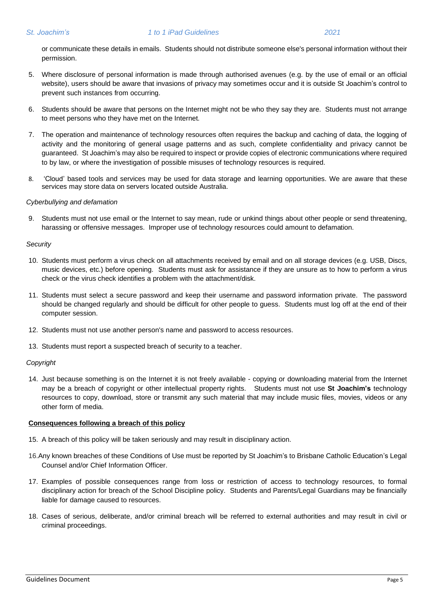or communicate these details in emails. Students should not distribute someone else's personal information without their permission.

- 5. Where disclosure of personal information is made through authorised avenues (e.g. by the use of email or an official website), users should be aware that invasions of privacy may sometimes occur and it is outside St Joachim's control to prevent such instances from occurring.
- 6. Students should be aware that persons on the Internet might not be who they say they are. Students must not arrange to meet persons who they have met on the Internet.
- 7. The operation and maintenance of technology resources often requires the backup and caching of data, the logging of activity and the monitoring of general usage patterns and as such, complete confidentiality and privacy cannot be guaranteed. St Joachim's may also be required to inspect or provide copies of electronic communications where required to by law, or where the investigation of possible misuses of technology resources is required.
- 8. 'Cloud' based tools and services may be used for data storage and learning opportunities. We are aware that these services may store data on servers located outside Australia.

#### *Cyberbullying and defamation*

9. Students must not use email or the Internet to say mean, rude or unkind things about other people or send threatening, harassing or offensive messages. Improper use of technology resources could amount to defamation.

#### *Security*

- 10. Students must perform a virus check on all attachments received by email and on all storage devices (e.g. USB, Discs, music devices, etc.) before opening. Students must ask for assistance if they are unsure as to how to perform a virus check or the virus check identifies a problem with the attachment/disk.
- 11. Students must select a secure password and keep their username and password information private. The password should be changed regularly and should be difficult for other people to guess. Students must log off at the end of their computer session.
- 12. Students must not use another person's name and password to access resources.
- 13. Students must report a suspected breach of security to a teacher.

#### *Copyright*

14. Just because something is on the Internet it is not freely available - copying or downloading material from the Internet may be a breach of copyright or other intellectual property rights. Students must not use **St Joachim's** technology resources to copy, download, store or transmit any such material that may include music files, movies, videos or any other form of media.

#### **Consequences following a breach of this policy**

- 15. A breach of this policy will be taken seriously and may result in disciplinary action.
- 16.Any known breaches of these Conditions of Use must be reported by St Joachim's to Brisbane Catholic Education's Legal Counsel and/or Chief Information Officer.
- 17. Examples of possible consequences range from loss or restriction of access to technology resources, to formal disciplinary action for breach of the School Discipline policy. Students and Parents/Legal Guardians may be financially liable for damage caused to resources.
- 18. Cases of serious, deliberate, and/or criminal breach will be referred to external authorities and may result in civil or criminal proceedings.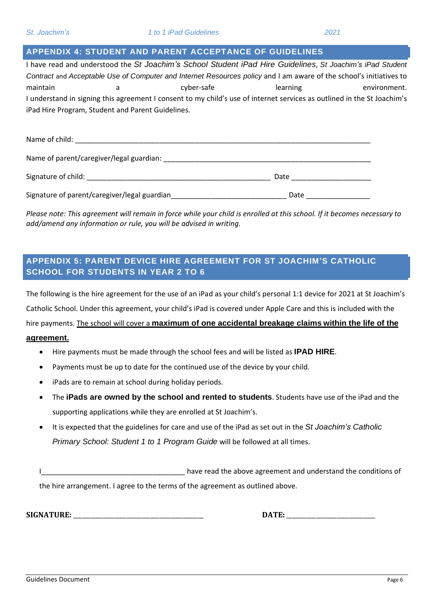## **APPENDIX 4: STUDENT AND PARENT ACCEPTANCE OF GUIDELINES**

I have read and understood the *St Joachim's School Student iPad Hire Guidelines*, *St Joachim's iPad Student Contract* and *Acceptable Use of Computer and Internet Resources policy* and I am aware of the school's initiatives to maintain a cyber-safe learning environment. I understand in signing this agreement I consent to my child's use of internet services as outlined in the St Joachim's iPad Hire Program, Student and Parent Guidelines.

| Name of child:                               |      |
|----------------------------------------------|------|
| Name of parent/caregiver/legal guardian:     |      |
| Signature of child:                          | Date |
| Signature of parent/caregiver/legal guardian | Date |

Please note: This agreement will remain in force while your child is enrolled at this school. If it becomes necessary to *add/amend any information or rule, you will be advised in writing.*

## **APPENDIX 5: PARENT DEVICE HIRE AGREEMENT FOR ST JOACHIM'S CATHOLIC SCHOOL FOR STUDENTS IN YEAR 2 TO 6**

The following is the hire agreement for the use of an iPad as your child's personal 1:1 device for 2021 at St Joachim's Catholic School. Under this agreement, your child's iPad is covered under Apple Care and this is included with the hire payments. The school will cover a **maximum of one accidental breakage claims within the life of the**

#### **agreement.**

- Hire payments must be made through the school fees and will be listed as **IPAD HIRE**.
- Payments must be up to date for the continued use of the device by your child.
- iPads are to remain at school during holiday periods.
- The **iPads are owned by the school and rented to students**. Students have use of the iPad and the supporting applications while they are enrolled at St Joachim's.
- It is expected that the guidelines for care and use of the iPad as set out in the *St Joachim's Catholic Primary School: Student 1 to 1 Program Guide* will be followed at all times.
- ILCCCLODUCTED LATE: Later and and understand the conditions of the hire arrangement. I agree to the terms of the agreement as outlined above.

**SIGNATURE:** \_\_\_\_\_\_\_\_\_\_\_\_\_\_\_\_\_\_\_\_\_\_\_\_\_\_\_\_\_\_\_\_\_\_\_\_\_\_\_\_\_\_\_\_ **DATE:** \_\_\_\_\_\_\_\_\_\_\_\_\_\_\_\_\_\_\_\_\_\_\_\_\_\_\_\_\_\_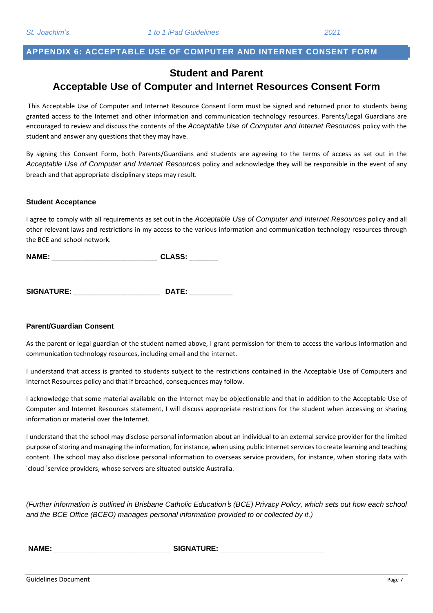## **APPENDIX 6: ACCEPTABLE USE OF COMPUTER AND INTERNET CONSENT FORM**

## **Student and Parent Acceptable Use of Computer and Internet Resources Consent Form**

This Acceptable Use of Computer and Internet Resource Consent Form must be signed and returned prior to students being granted access to the Internet and other information and communication technology resources. Parents/Legal Guardians are encouraged to review and discuss the contents of the *Acceptable Use of Computer and Internet Resources* policy with the student and answer any questions that they may have.

By signing this Consent Form, both Parents/Guardians and students are agreeing to the terms of access as set out in the *Acceptable Use of Computer and Internet Resources* policy and acknowledge they will be responsible in the event of any breach and that appropriate disciplinary steps may result.

#### **Student Acceptance**

I agree to comply with all requirements as set out in the *Acceptable Use of Computer and Internet Resources* policy and all other relevant laws and restrictions in my access to the various information and communication technology resources through the BCE and school network.

**NAME:**  $CLASS:$ 

**SIGNATURE:** \_\_\_\_\_\_\_\_\_\_\_\_\_\_\_\_\_\_\_\_\_\_\_\_ **DATE:** \_\_\_\_\_\_\_\_\_\_\_\_

#### **Parent/Guardian Consent**

As the parent or legal guardian of the student named above, I grant permission for them to access the various information and communication technology resources, including email and the internet.

I understand that access is granted to students subject to the restrictions contained in the Acceptable Use of Computers and Internet Resources policy and that if breached, consequences may follow.

I acknowledge that some material available on the Internet may be objectionable and that in addition to the Acceptable Use of Computer and Internet Resources statement, I will discuss appropriate restrictions for the student when accessing or sharing information or material over the Internet.

I understand that the school may disclose personal information about an individual to an external service provider for the limited purpose of storing and managing the information, for instance, when using public Internet services to create learning and teaching content. The school may also disclose personal information to overseas service providers, for instance, when storing data with 'cloud 'service providers, whose servers are situated outside Australia.

(Further information is outlined in Brisbane Catholic Education's (BCE) Privacy Policy, which sets out how each school *and the BCE Office (BCEO) manages personal information provided to or collected by it.)*

**NAME:** \_\_\_\_\_\_\_\_\_\_\_\_\_\_\_\_\_\_\_\_\_\_\_\_\_\_\_\_\_\_\_\_ **SIGNATURE:** \_\_\_\_\_\_\_\_\_\_\_\_\_\_\_\_\_\_\_\_\_\_\_\_\_\_\_\_\_